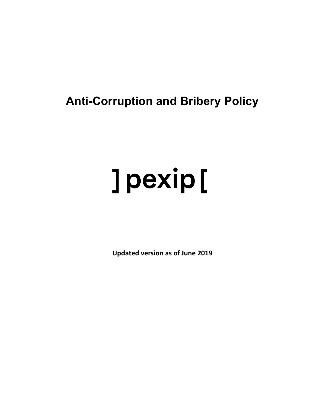## **Anti-Corruption and Bribery Policy**

# ] pexip [

**Updated version as of June 2019**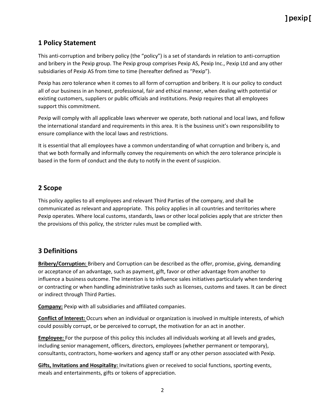#### **1 Policy Statement**

This anti-corruption and bribery policy (the "policy") is a set of standards in relation to anti-corruption and bribery in the Pexip group. The Pexip group comprises Pexip AS, Pexip Inc., Pexip Ltd and any other subsidiaries of Pexip AS from time to time (hereafter defined as "Pexip").

Pexip has zero tolerance when it comes to all form of corruption and bribery. It is our policy to conduct all of our business in an honest, professional, fair and ethical manner, when dealing with potential or existing customers, suppliers or public officials and institutions. Pexip requires that all employees support this commitment.

Pexip will comply with all applicable laws wherever we operate, both national and local laws, and follow the international standard and requirements in this area. It is the business unit's own responsibility to ensure compliance with the local laws and restrictions.

It is essential that all employees have a common understanding of what corruption and bribery is, and that we both formally and informally convey the requirements on which the zero tolerance principle is based in the form of conduct and the duty to notify in the event of suspicion.

#### **2 Scope**

This policy applies to all employees and relevant Third Parties of the company, and shall be communicated as relevant and appropriate. This policy applies in all countries and territories where Pexip operates. Where local customs, standards, laws or other local policies apply that are stricter then the provisions of this policy, the stricter rules must be complied with.

#### **3 Definitions**

**Bribery/Corruption:** Bribery and Corruption can be described as the offer, promise, giving, demanding or acceptance of an advantage, such as payment, gift, favor or other advantage from another to influence a business outcome. The intention is to influence sales initiatives particularly when tendering or contracting or when handling administrative tasks such as licenses, customs and taxes. It can be direct or indirect through Third Parties.

**Company:** Pexip with all subsidiaries and affiliated companies.

**Conflict of Interest:** Occurs when an individual or organization is involved in multiple interests, of which could possibly corrupt, or be perceived to corrupt, the motivation for an act in another.

**Employee:** For the purpose of this policy this includes all individuals working at all levels and grades, including senior management, officers, directors, employees (whether permanent or temporary), consultants, contractors, home-workers and agency staff or any other person associated with Pexip.

**Gifts, Invitations and Hospitality:** Invitations given or received to social functions, sporting events, meals and entertainments, gifts or tokens of appreciation.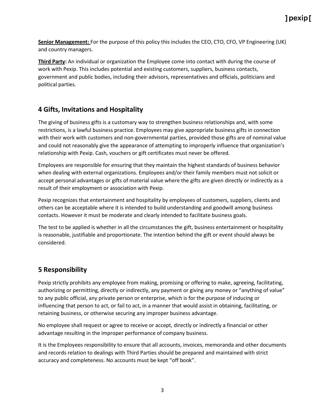### 1 pexip [

**Senior Management:** For the purpose of this policy this includes the CEO, CTO, CFO, VP Engineering (UK) and country managers.

**Third Party:** An individual or organization the Employee come into contact with during the course of work with Pexip. This includes potential and existing customers, suppliers, business contacts, government and public bodies, including their advisors, representatives and officials, politicians and political parties.

#### **4 Gifts, Invitations and Hospitality**

The giving of business gifts is a customary way to strengthen business relationships and, with some restrictions, is a lawful business practice. Employees may give appropriate business gifts in connection with their work with customers and non-governmental parties, provided those gifts are of nominal value and could not reasonably give the appearance of attempting to improperly influence that organization's relationship with Pexip. Cash, vouchers or gift certificates must never be offered.

Employees are responsible for ensuring that they maintain the highest standards of business behavior when dealing with external organizations. Employees and/or their family members must not solicit or accept personal advantages or gifts of material value where the gifts are given directly or indirectly as a result of their employment or association with Pexip.

Pexip recognizes that entertainment and hospitality by employees of customers, suppliers, clients and others can be acceptable where it is intended to build understanding and goodwill among business contacts. However it must be moderate and clearly intended to facilitate business goals.

The test to be applied is whether in all the circumstances the gift, business entertainment or hospitality is reasonable, justifiable and proportionate. The intention behind the gift or event should always be considered.

#### **5 Responsibility**

Pexip strictly prohibits any employee from making, promising or offering to make, agreeing, facilitating, authorizing or permitting, directly or indirectly, any payment or giving any money or "anything of value" to any public official, any private person or enterprise, which is for the purpose of inducing or influencing that person to act, or fail to act, in a manner that would assist in obtaining, facilitating, or retaining business, or otherwise securing any improper business advantage.

No employee shall request or agree to receive or accept, directly or indirectly a financial or other advantage resulting in the improper performance of company business.

It is the Employees responsibility to ensure that all accounts, invoices, memoranda and other documents and records relation to dealings with Third Parties should be prepared and maintained with strict accuracy and completeness. No accounts must be kept "off book".